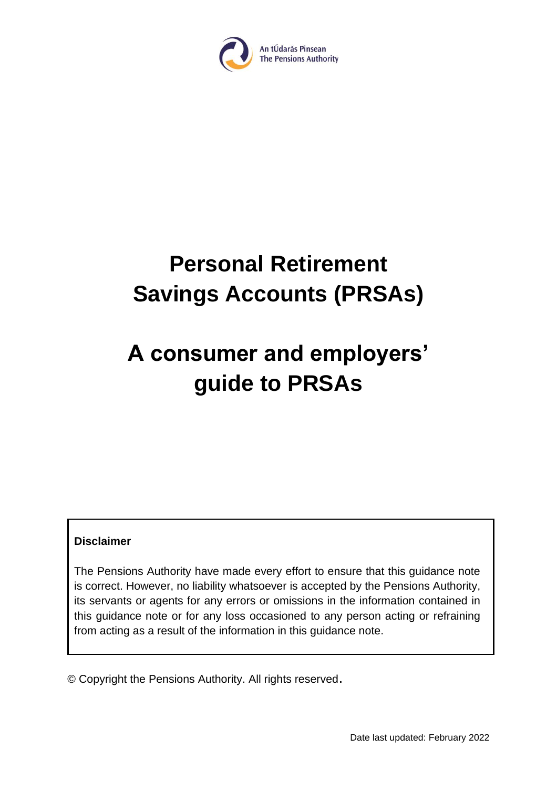

# **Personal Retirement Savings Accounts (PRSAs)**

# **A consumer and employers' guide to PRSAs**

#### **Disclaimer**

The Pensions Authority have made every effort to ensure that this guidance note is correct. However, no liability whatsoever is accepted by the Pensions Authority, its servants or agents for any errors or omissions in the information contained in this guidance note or for any loss occasioned to any person acting or refraining from acting as a result of the information in this guidance note.

© Copyright the Pensions Authority. All rights reserved.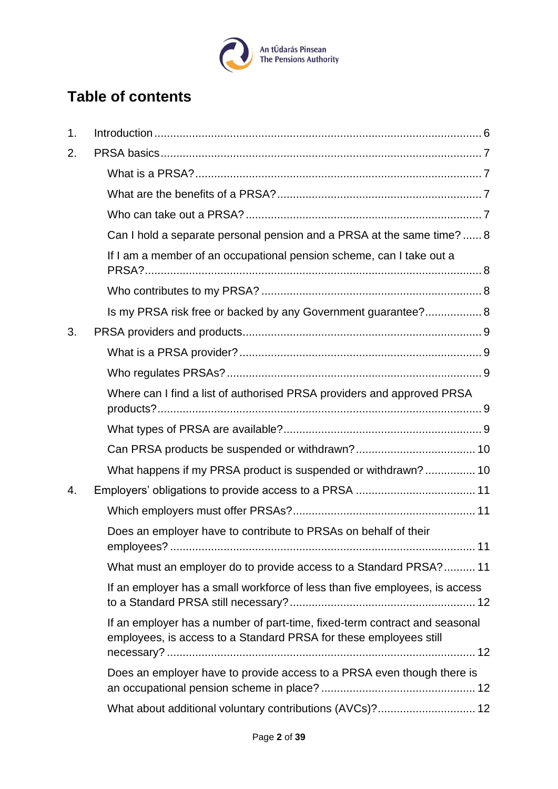

# **Table of contents**

| 1. |                                                                                                                                                 |
|----|-------------------------------------------------------------------------------------------------------------------------------------------------|
| 2. |                                                                                                                                                 |
|    |                                                                                                                                                 |
|    |                                                                                                                                                 |
|    |                                                                                                                                                 |
|    | Can I hold a separate personal pension and a PRSA at the same time?  8                                                                          |
|    | If I am a member of an occupational pension scheme, can I take out a                                                                            |
|    |                                                                                                                                                 |
|    | Is my PRSA risk free or backed by any Government guarantee? 8                                                                                   |
| 3. |                                                                                                                                                 |
|    |                                                                                                                                                 |
|    |                                                                                                                                                 |
|    | Where can I find a list of authorised PRSA providers and approved PRSA                                                                          |
|    |                                                                                                                                                 |
|    |                                                                                                                                                 |
|    | What happens if my PRSA product is suspended or withdrawn? 10                                                                                   |
| 4. |                                                                                                                                                 |
|    |                                                                                                                                                 |
|    | Does an employer have to contribute to PRSAs on behalf of their                                                                                 |
|    | What must an employer do to provide access to a Standard PRSA? 11                                                                               |
|    | If an employer has a small workforce of less than five employees, is access                                                                     |
|    | If an employer has a number of part-time, fixed-term contract and seasonal<br>employees, is access to a Standard PRSA for these employees still |
|    | Does an employer have to provide access to a PRSA even though there is                                                                          |
|    | What about additional voluntary contributions (AVCs)? 12                                                                                        |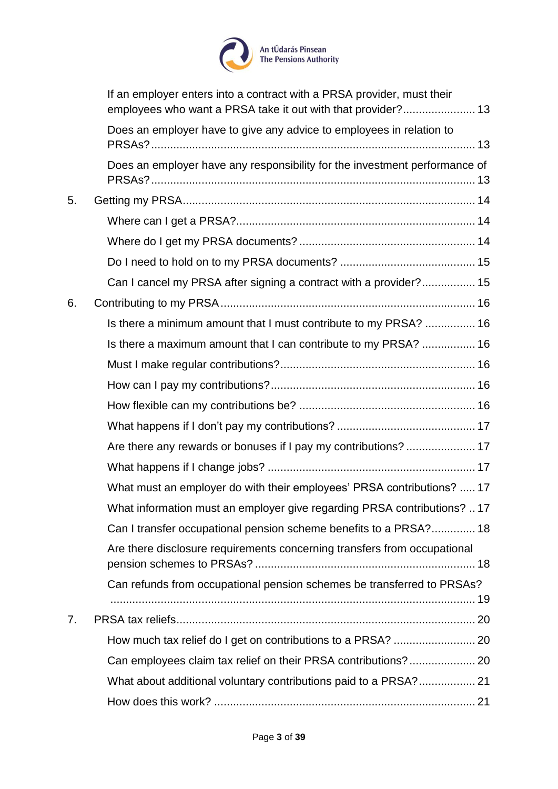

|    | If an employer enters into a contract with a PRSA provider, must their<br>employees who want a PRSA take it out with that provider? 13 |
|----|----------------------------------------------------------------------------------------------------------------------------------------|
|    | Does an employer have to give any advice to employees in relation to                                                                   |
|    | Does an employer have any responsibility for the investment performance of                                                             |
| 5. |                                                                                                                                        |
|    |                                                                                                                                        |
|    |                                                                                                                                        |
|    |                                                                                                                                        |
|    | Can I cancel my PRSA after signing a contract with a provider? 15                                                                      |
| 6. |                                                                                                                                        |
|    | Is there a minimum amount that I must contribute to my PRSA?  16                                                                       |
|    | Is there a maximum amount that I can contribute to my PRSA?  16                                                                        |
|    |                                                                                                                                        |
|    |                                                                                                                                        |
|    |                                                                                                                                        |
|    |                                                                                                                                        |
|    | Are there any rewards or bonuses if I pay my contributions?  17                                                                        |
|    |                                                                                                                                        |
|    | What must an employer do with their employees' PRSA contributions?  17                                                                 |
|    | What information must an employer give regarding PRSA contributions?  17                                                               |
|    | Can I transfer occupational pension scheme benefits to a PRSA? 18                                                                      |
|    | Are there disclosure requirements concerning transfers from occupational                                                               |
|    | Can refunds from occupational pension schemes be transferred to PRSAs?                                                                 |
|    |                                                                                                                                        |
| 7. |                                                                                                                                        |
|    | How much tax relief do I get on contributions to a PRSA?  20                                                                           |
|    |                                                                                                                                        |
|    | What about additional voluntary contributions paid to a PRSA? 21                                                                       |
|    |                                                                                                                                        |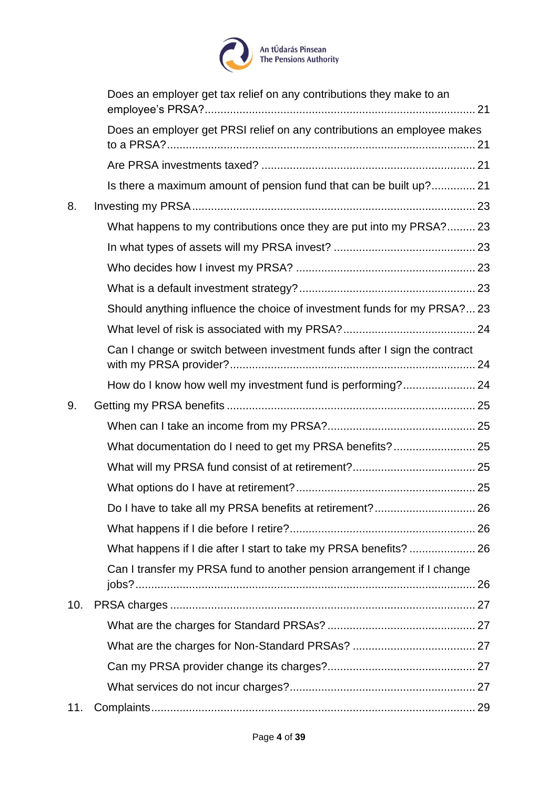

|     | Does an employer get tax relief on any contributions they make to an      |  |
|-----|---------------------------------------------------------------------------|--|
|     | Does an employer get PRSI relief on any contributions an employee makes   |  |
|     |                                                                           |  |
|     | Is there a maximum amount of pension fund that can be built up? 21        |  |
| 8.  |                                                                           |  |
|     | What happens to my contributions once they are put into my PRSA? 23       |  |
|     |                                                                           |  |
|     |                                                                           |  |
|     |                                                                           |  |
|     | Should anything influence the choice of investment funds for my PRSA? 23  |  |
|     |                                                                           |  |
|     | Can I change or switch between investment funds after I sign the contract |  |
|     |                                                                           |  |
| 9.  |                                                                           |  |
|     |                                                                           |  |
|     | What documentation do I need to get my PRSA benefits? 25                  |  |
|     |                                                                           |  |
|     |                                                                           |  |
|     |                                                                           |  |
|     |                                                                           |  |
|     |                                                                           |  |
|     | Can I transfer my PRSA fund to another pension arrangement if I change    |  |
| 10. |                                                                           |  |
|     |                                                                           |  |
|     |                                                                           |  |
|     |                                                                           |  |
|     |                                                                           |  |
| 11. |                                                                           |  |
|     |                                                                           |  |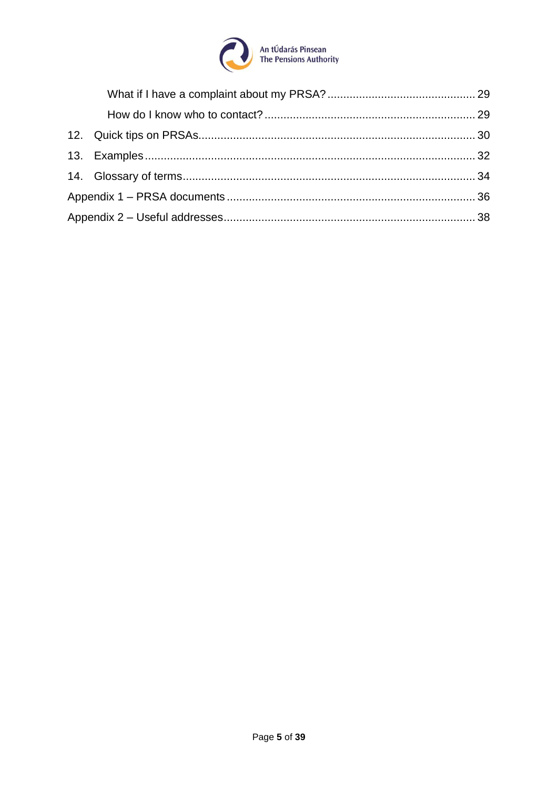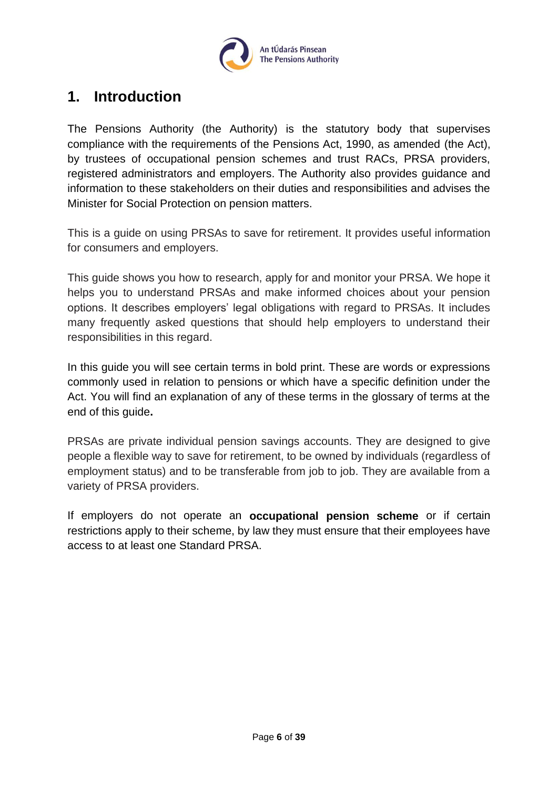

# <span id="page-5-0"></span>**1. Introduction**

The Pensions Authority (the Authority) is the statutory body that supervises compliance with the requirements of the Pensions Act, 1990, as amended (the Act), by trustees of occupational pension schemes and trust RACs, PRSA providers, registered administrators and employers. The Authority also provides guidance and information to these stakeholders on their duties and responsibilities and advises the Minister for Social Protection on pension matters.

This is a guide on using PRSAs to save for retirement. It provides useful information for consumers and employers.

This guide shows you how to research, apply for and monitor your PRSA. We hope it helps you to understand PRSAs and make informed choices about your pension options. It describes employers' legal obligations with regard to PRSAs. It includes many frequently asked questions that should help employers to understand their responsibilities in this regard.

In this guide you will see certain terms in bold print. These are words or expressions commonly used in relation to pensions or which have a specific definition under the Act. You will find an explanation of any of these terms in the glossary of terms at the end of this guide**.**

PRSAs are private individual pension savings accounts. They are designed to give people a flexible way to save for retirement, to be owned by individuals (regardless of employment status) and to be transferable from job to job. They are available from a variety of PRSA providers.

If employers do not operate an **occupational pension scheme** or if certain restrictions apply to their scheme, by law they must ensure that their employees have access to at least one Standard PRSA.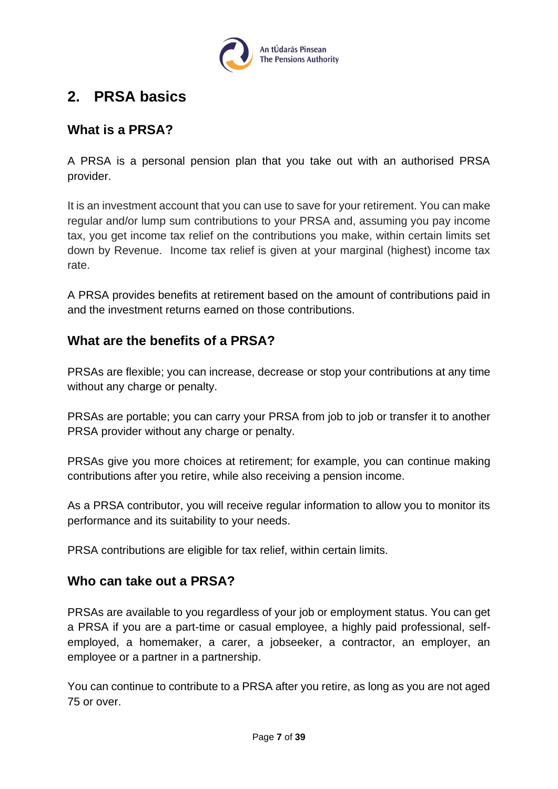

# <span id="page-6-0"></span>**2. PRSA basics**

### <span id="page-6-1"></span>**What is a PRSA?**

A PRSA is a personal pension plan that you take out with an authorised PRSA provider.

It is an investment account that you can use to save for your retirement. You can make regular and/or lump sum contributions to your PRSA and, assuming you pay income tax, you get income tax relief on the contributions you make, within certain limits set down by Revenue. Income tax relief is given at your marginal (highest) income tax rate.

A PRSA provides benefits at retirement based on the amount of contributions paid in and the investment returns earned on those contributions.

# <span id="page-6-2"></span>**What are the benefits of a PRSA?**

PRSAs are flexible; you can increase, decrease or stop your contributions at any time without any charge or penalty.

PRSAs are portable; you can carry your PRSA from job to job or transfer it to another PRSA provider without any charge or penalty.

PRSAs give you more choices at retirement; for example, you can continue making contributions after you retire, while also receiving a pension income.

As a PRSA contributor, you will receive regular information to allow you to monitor its performance and its suitability to your needs.

PRSA contributions are eligible for tax relief, within certain limits.

#### <span id="page-6-3"></span>**Who can take out a PRSA?**

PRSAs are available to you regardless of your job or employment status. You can get a PRSA if you are a part-time or casual employee, a highly paid professional, selfemployed, a homemaker, a carer, a jobseeker, a contractor, an employer, an employee or a partner in a partnership.

You can continue to contribute to a PRSA after you retire, as long as you are not aged 75 or over.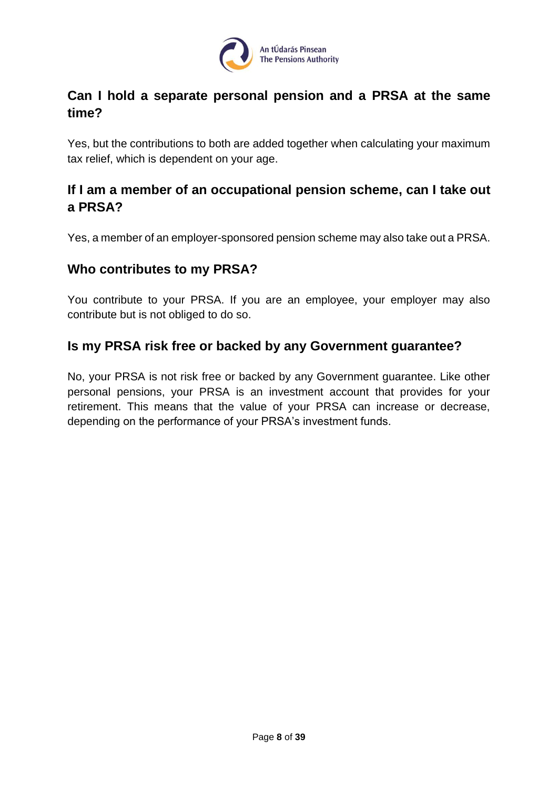

# <span id="page-7-0"></span>**Can I hold a separate personal pension and a PRSA at the same time?**

Yes, but the contributions to both are added together when calculating your maximum tax relief, which is dependent on your age.

# <span id="page-7-1"></span>**If I am a member of an occupational pension scheme, can I take out a PRSA?**

Yes, a member of an employer-sponsored pension scheme may also take out a PRSA.

### <span id="page-7-2"></span>**Who contributes to my PRSA?**

You contribute to your PRSA. If you are an employee, your employer may also contribute but is not obliged to do so.

### <span id="page-7-3"></span>**Is my PRSA risk free or backed by any Government guarantee?**

No, your PRSA is not risk free or backed by any Government guarantee. Like other personal pensions, your PRSA is an investment account that provides for your retirement. This means that the value of your PRSA can increase or decrease, depending on the performance of your PRSA's investment funds.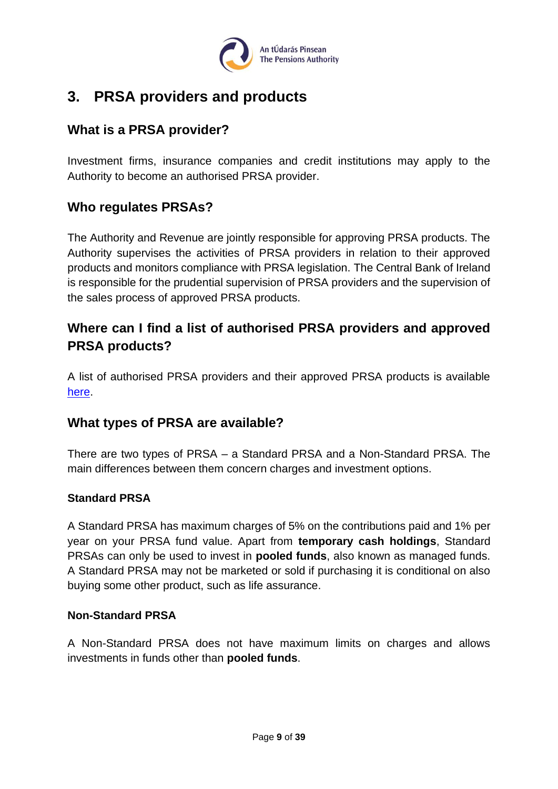

# <span id="page-8-0"></span>**3. PRSA providers and products**

# <span id="page-8-1"></span>**What is a PRSA provider?**

Investment firms, insurance companies and credit institutions may apply to the Authority to become an authorised PRSA provider.

# <span id="page-8-2"></span>**Who regulates PRSAs?**

The Authority and Revenue are jointly responsible for approving PRSA products. The Authority supervises the activities of PRSA providers in relation to their approved products and monitors compliance with PRSA legislation. The Central Bank of Ireland is responsible for the prudential supervision of PRSA providers and the supervision of the sales process of approved PRSA products.

# <span id="page-8-3"></span>**Where can I find a list of authorised PRSA providers and approved PRSA products?**

A list of authorised PRSA providers and their approved PRSA products is available [here.](https://www.pensionsauthority.ie/en/prsa_providers/prsas/)

# <span id="page-8-4"></span>**What types of PRSA are available?**

There are two types of PRSA – a Standard PRSA and a Non-Standard PRSA. The main differences between them concern charges and investment options.

#### **Standard PRSA**

A Standard PRSA has maximum charges of 5% on the contributions paid and 1% per year on your PRSA fund value. Apart from **temporary cash holdings**, Standard PRSAs can only be used to invest in **pooled funds**, also known as managed funds. A Standard PRSA may not be marketed or sold if purchasing it is conditional on also buying some other product, such as life assurance.

#### **Non-Standard PRSA**

A Non-Standard PRSA does not have maximum limits on charges and allows investments in funds other than **pooled funds**.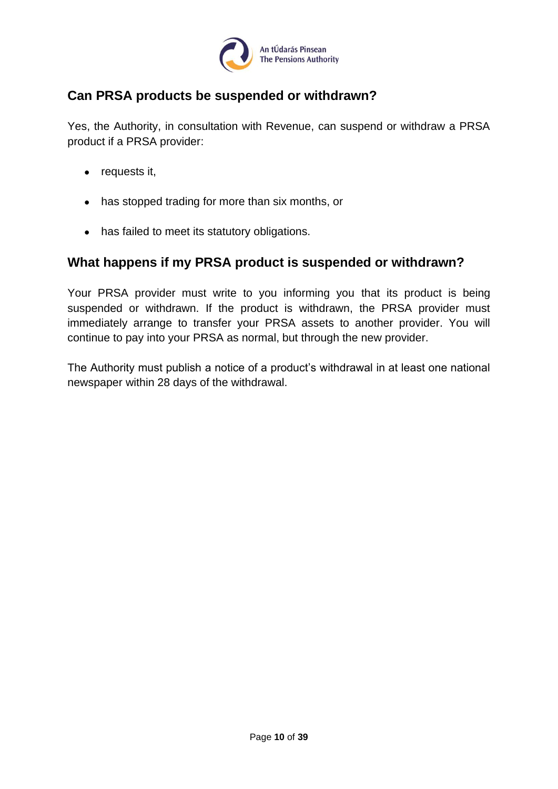

# <span id="page-9-0"></span>**Can PRSA products be suspended or withdrawn?**

Yes, the Authority, in consultation with Revenue, can suspend or withdraw a PRSA product if a PRSA provider:

- requests it,
- has stopped trading for more than six months, or
- has failed to meet its statutory obligations.

# <span id="page-9-1"></span>**What happens if my PRSA product is suspended or withdrawn?**

Your PRSA provider must write to you informing you that its product is being suspended or withdrawn. If the product is withdrawn, the PRSA provider must immediately arrange to transfer your PRSA assets to another provider. You will continue to pay into your PRSA as normal, but through the new provider.

The Authority must publish a notice of a product's withdrawal in at least one national newspaper within 28 days of the withdrawal.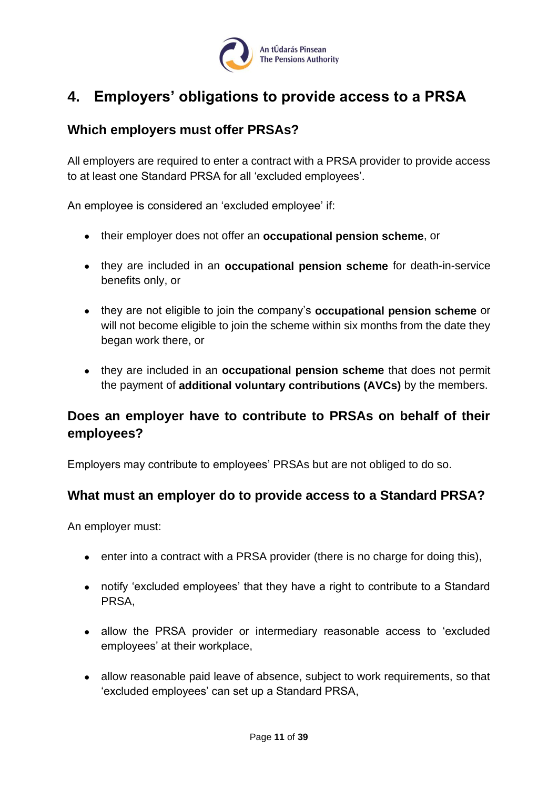

# <span id="page-10-0"></span>**4. Employers' obligations to provide access to a PRSA**

### <span id="page-10-1"></span>**Which employers must offer PRSAs?**

All employers are required to enter a contract with a PRSA provider to provide access to at least one Standard PRSA for all 'excluded employees'.

An employee is considered an 'excluded employee' if:

- their employer does not offer an **occupational pension scheme**, or
- they are included in an **occupational pension scheme** for death-in-service benefits only, or
- they are not eligible to join the company's **occupational pension scheme** or will not become eligible to join the scheme within six months from the date they began work there, or
- they are included in an **occupational pension scheme** that does not permit the payment of **additional voluntary contributions (AVCs)** by the members.

# <span id="page-10-2"></span>**Does an employer have to contribute to PRSAs on behalf of their employees?**

Employers may contribute to employees' PRSAs but are not obliged to do so.

#### <span id="page-10-3"></span>**What must an employer do to provide access to a Standard PRSA?**

An employer must:

- enter into a contract with a PRSA provider (there is no charge for doing this),
- notify 'excluded employees' that they have a right to contribute to a Standard PRSA,
- allow the PRSA provider or intermediary reasonable access to 'excluded employees' at their workplace,
- allow reasonable paid leave of absence, subject to work requirements, so that 'excluded employees' can set up a Standard PRSA,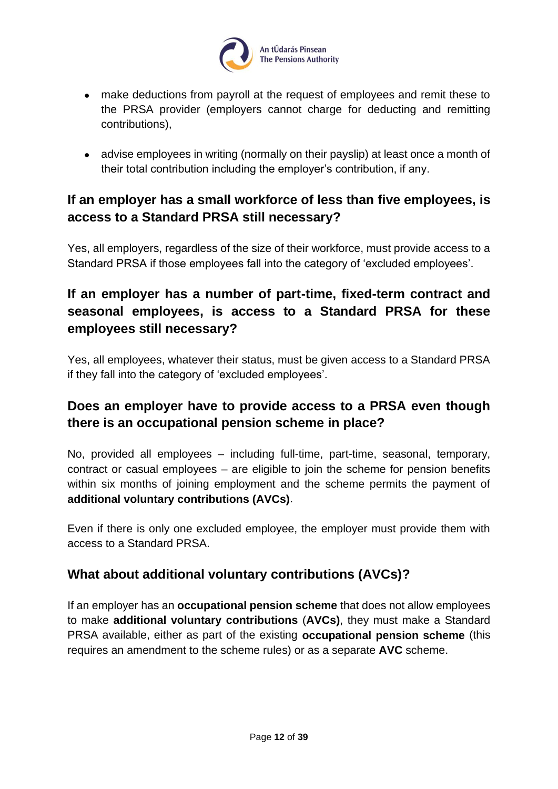

- make deductions from payroll at the request of employees and remit these to the PRSA provider (employers cannot charge for deducting and remitting contributions),
- advise employees in writing (normally on their payslip) at least once a month of their total contribution including the employer's contribution, if any.

# <span id="page-11-0"></span>**If an employer has a small workforce of less than five employees, is access to a Standard PRSA still necessary?**

Yes, all employers, regardless of the size of their workforce, must provide access to a Standard PRSA if those employees fall into the category of 'excluded employees'.

# <span id="page-11-1"></span>**If an employer has a number of part-time, fixed-term contract and seasonal employees, is access to a Standard PRSA for these employees still necessary?**

Yes, all employees, whatever their status, must be given access to a Standard PRSA if they fall into the category of 'excluded employees'.

# <span id="page-11-2"></span>**Does an employer have to provide access to a PRSA even though there is an occupational pension scheme in place?**

No, provided all employees – including full-time, part-time, seasonal, temporary, contract or casual employees – are eligible to join the scheme for pension benefits within six months of joining employment and the scheme permits the payment of **additional voluntary contributions (AVCs)**.

Even if there is only one excluded employee, the employer must provide them with access to a Standard PRSA.

# <span id="page-11-3"></span>**What about additional voluntary contributions (AVCs)?**

If an employer has an **occupational pension scheme** that does not allow employees to make **additional voluntary contributions** (**AVCs)**, they must make a Standard PRSA available, either as part of the existing **occupational pension scheme** (this requires an amendment to the scheme rules) or as a separate **AVC** scheme.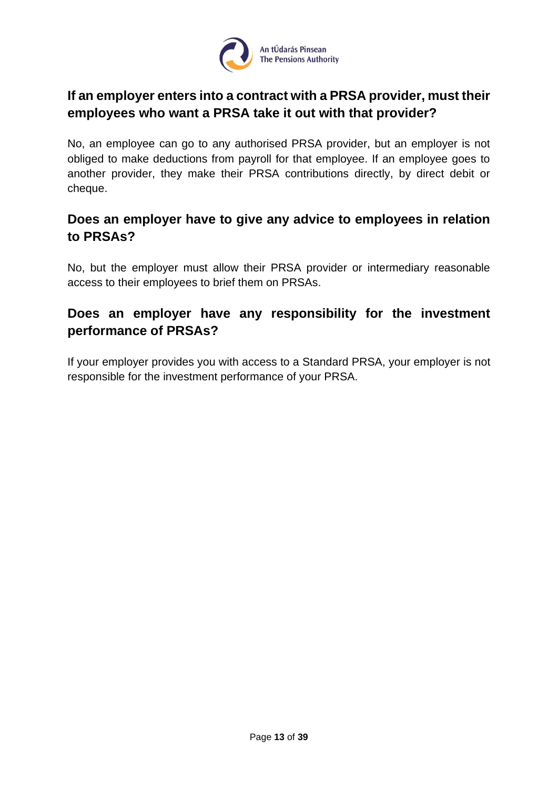

# <span id="page-12-0"></span>**If an employer enters into a contract with a PRSA provider, must their employees who want a PRSA take it out with that provider?**

No, an employee can go to any authorised PRSA provider, but an employer is not obliged to make deductions from payroll for that employee. If an employee goes to another provider, they make their PRSA contributions directly, by direct debit or cheque.

# <span id="page-12-1"></span>**Does an employer have to give any advice to employees in relation to PRSAs?**

No, but the employer must allow their PRSA provider or intermediary reasonable access to their employees to brief them on PRSAs.

# <span id="page-12-2"></span>**Does an employer have any responsibility for the investment performance of PRSAs?**

If your employer provides you with access to a Standard PRSA, your employer is not responsible for the investment performance of your PRSA.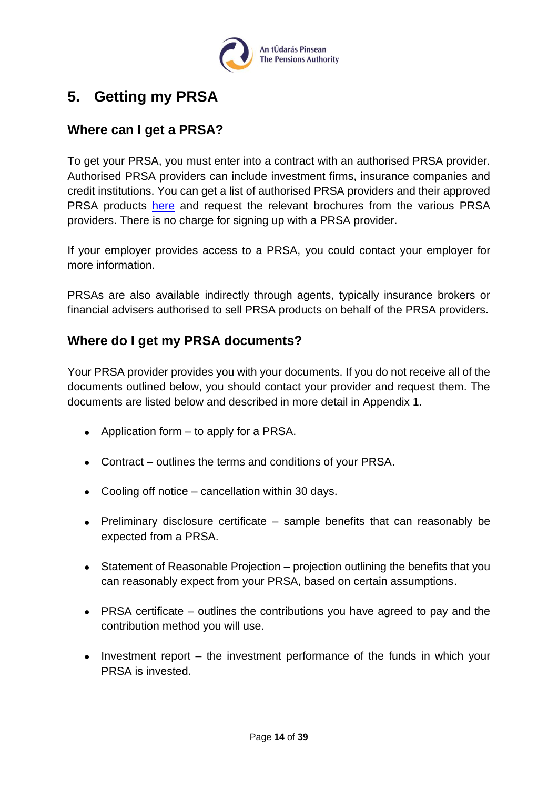

# <span id="page-13-0"></span>**5. Getting my PRSA**

# <span id="page-13-1"></span>**Where can I get a PRSA?**

To get your PRSA, you must enter into a contract with an authorised PRSA provider. Authorised PRSA providers can include investment firms, insurance companies and credit institutions. You can get a list of authorised PRSA providers and their approved PRSA products [here](https://www.pensionsauthority.ie/en/prsa_providers/prsas/) and request the relevant brochures from the various PRSA providers. There is no charge for signing up with a PRSA provider.

If your employer provides access to a PRSA, you could contact your employer for more information.

PRSAs are also available indirectly through agents, typically insurance brokers or financial advisers authorised to sell PRSA products on behalf of the PRSA providers.

# <span id="page-13-2"></span>**Where do I get my PRSA documents?**

Your PRSA provider provides you with your documents. If you do not receive all of the documents outlined below, you should contact your provider and request them. The documents are listed below and described in more detail in Appendix 1.

- Application form to apply for a PRSA.
- Contract outlines the terms and conditions of your PRSA.
- Cooling off notice cancellation within 30 days.
- Preliminary disclosure certificate sample benefits that can reasonably be expected from a PRSA.
- Statement of Reasonable Projection projection outlining the benefits that you can reasonably expect from your PRSA, based on certain assumptions.
- PRSA certificate outlines the contributions you have agreed to pay and the contribution method you will use.
- Investment report the investment performance of the funds in which your PRSA is invested.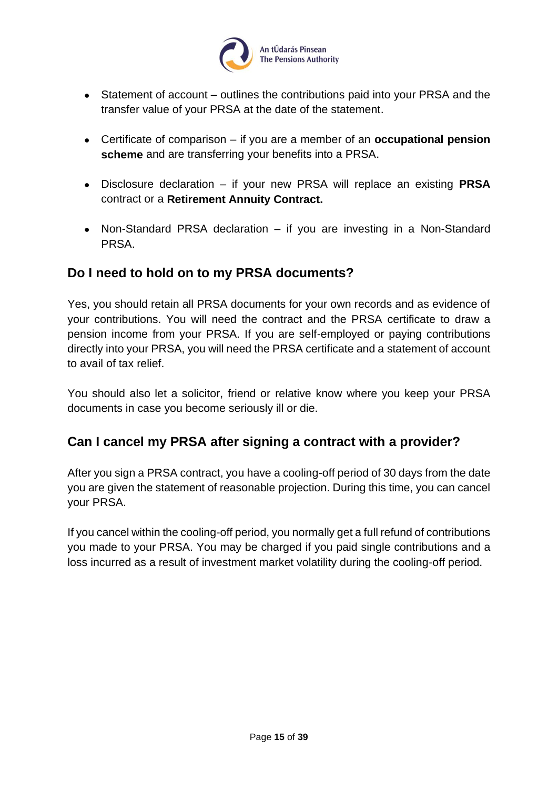

- Statement of account outlines the contributions paid into your PRSA and the transfer value of your PRSA at the date of the statement.
- Certificate of comparison if you are a member of an **occupational pension scheme** and are transferring your benefits into a PRSA.
- Disclosure declaration if your new PRSA will replace an existing **PRSA** contract or a **Retirement Annuity Contract.**
- Non-Standard PRSA declaration if you are investing in a Non-Standard PRSA.

# <span id="page-14-0"></span>**Do I need to hold on to my PRSA documents?**

Yes, you should retain all PRSA documents for your own records and as evidence of your contributions. You will need the contract and the PRSA certificate to draw a pension income from your PRSA. If you are self-employed or paying contributions directly into your PRSA, you will need the PRSA certificate and a statement of account to avail of tax relief.

You should also let a solicitor, friend or relative know where you keep your PRSA documents in case you become seriously ill or die.

# <span id="page-14-1"></span>**Can I cancel my PRSA after signing a contract with a provider?**

After you sign a PRSA contract, you have a cooling-off period of 30 days from the date you are given the statement of reasonable projection. During this time, you can cancel your PRSA.

If you cancel within the cooling-off period, you normally get a full refund of contributions you made to your PRSA. You may be charged if you paid single contributions and a loss incurred as a result of investment market volatility during the cooling-off period.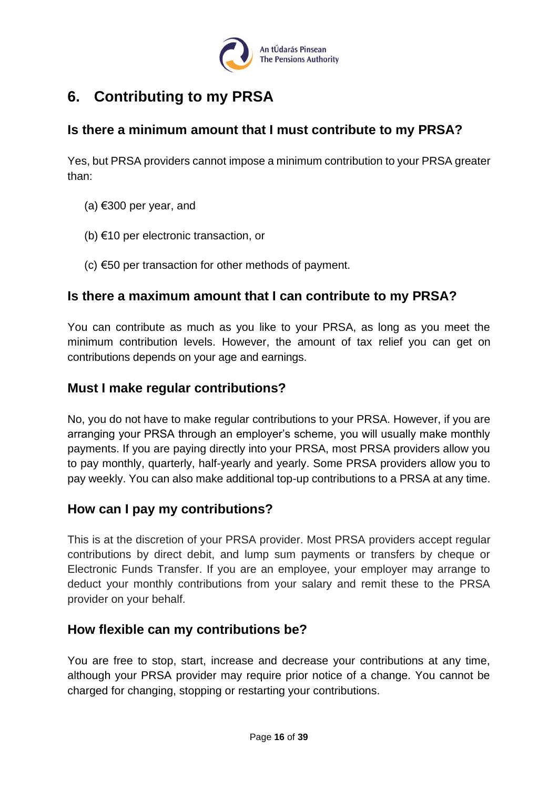

# <span id="page-15-0"></span>**6. Contributing to my PRSA**

# <span id="page-15-1"></span>**Is there a minimum amount that I must contribute to my PRSA?**

Yes, but PRSA providers cannot impose a minimum contribution to your PRSA greater than:

- (a) €300 per year, and
- (b) €10 per electronic transaction, or
- (c) €50 per transaction for other methods of payment.

### <span id="page-15-2"></span>**Is there a maximum amount that I can contribute to my PRSA?**

You can contribute as much as you like to your PRSA, as long as you meet the minimum contribution levels. However, the amount of tax relief you can get on contributions depends on your age and earnings.

### <span id="page-15-3"></span>**Must I make regular contributions?**

No, you do not have to make regular contributions to your PRSA. However, if you are arranging your PRSA through an employer's scheme, you will usually make monthly payments. If you are paying directly into your PRSA, most PRSA providers allow you to pay monthly, quarterly, half-yearly and yearly. Some PRSA providers allow you to pay weekly. You can also make additional top-up contributions to a PRSA at any time.

# <span id="page-15-4"></span>**How can I pay my contributions?**

This is at the discretion of your PRSA provider. Most PRSA providers accept regular contributions by direct debit, and lump sum payments or transfers by cheque or Electronic Funds Transfer. If you are an employee, your employer may arrange to deduct your monthly contributions from your salary and remit these to the PRSA provider on your behalf.

#### <span id="page-15-5"></span>**How flexible can my contributions be?**

You are free to stop, start, increase and decrease your contributions at any time, although your PRSA provider may require prior notice of a change. You cannot be charged for changing, stopping or restarting your contributions.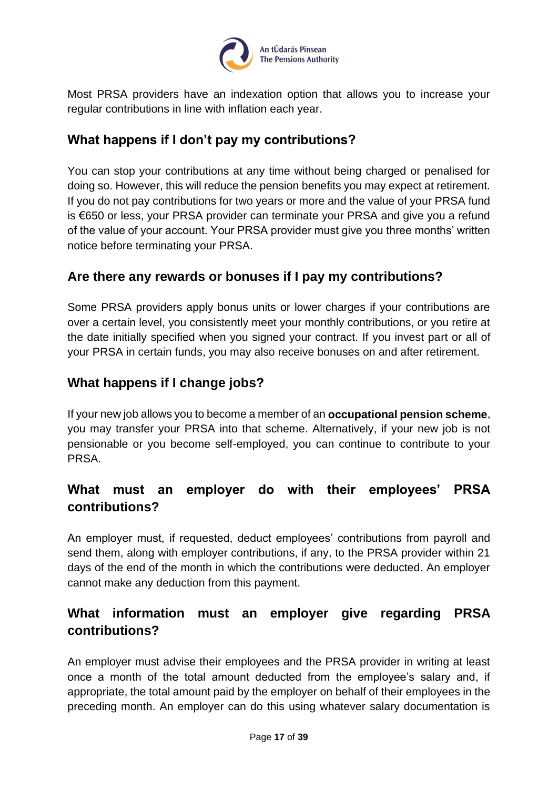

Most PRSA providers have an indexation option that allows you to increase your regular contributions in line with inflation each year.

# <span id="page-16-0"></span>**What happens if I don't pay my contributions?**

You can stop your contributions at any time without being charged or penalised for doing so. However, this will reduce the pension benefits you may expect at retirement. If you do not pay contributions for two years or more and the value of your PRSA fund is €650 or less, your PRSA provider can terminate your PRSA and give you a refund of the value of your account. Your PRSA provider must give you three months' written notice before terminating your PRSA.

# <span id="page-16-1"></span>**Are there any rewards or bonuses if I pay my contributions?**

Some PRSA providers apply bonus units or lower charges if your contributions are over a certain level, you consistently meet your monthly contributions, or you retire at the date initially specified when you signed your contract. If you invest part or all of your PRSA in certain funds, you may also receive bonuses on and after retirement.

# <span id="page-16-2"></span>**What happens if I change jobs?**

If your new job allows you to become a member of an **occupational pension scheme**, you may transfer your PRSA into that scheme. Alternatively, if your new job is not pensionable or you become self-employed, you can continue to contribute to your **PRSA** 

# <span id="page-16-3"></span>**What must an employer do with their employees' PRSA contributions?**

An employer must, if requested, deduct employees' contributions from payroll and send them, along with employer contributions, if any, to the PRSA provider within 21 days of the end of the month in which the contributions were deducted. An employer cannot make any deduction from this payment.

# <span id="page-16-4"></span>**What information must an employer give regarding PRSA contributions?**

An employer must advise their employees and the PRSA provider in writing at least once a month of the total amount deducted from the employee's salary and, if appropriate, the total amount paid by the employer on behalf of their employees in the preceding month. An employer can do this using whatever salary documentation is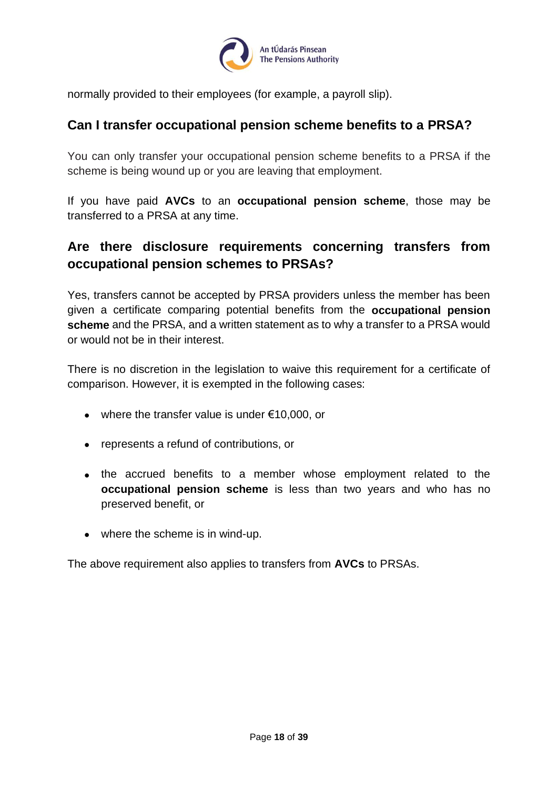

normally provided to their employees (for example, a payroll slip).

# <span id="page-17-0"></span>**Can I transfer occupational pension scheme benefits to a PRSA?**

You can only transfer your occupational pension scheme benefits to a PRSA if the scheme is being wound up or you are leaving that employment.

If you have paid **AVCs** to an **occupational pension scheme**, those may be transferred to a PRSA at any time.

# <span id="page-17-1"></span>**Are there disclosure requirements concerning transfers from occupational pension schemes to PRSAs?**

Yes, transfers cannot be accepted by PRSA providers unless the member has been given a certificate comparing potential benefits from the **occupational pension scheme** and the PRSA, and a written statement as to why a transfer to a PRSA would or would not be in their interest.

There is no discretion in the legislation to waive this requirement for a certificate of comparison. However, it is exempted in the following cases:

- where the transfer value is under  $€10,000$ , or
- represents a refund of contributions, or
- the accrued benefits to a member whose employment related to the **occupational pension scheme** is less than two years and who has no preserved benefit, or
- where the scheme is in wind-up.

The above requirement also applies to transfers from **AVCs** to PRSAs.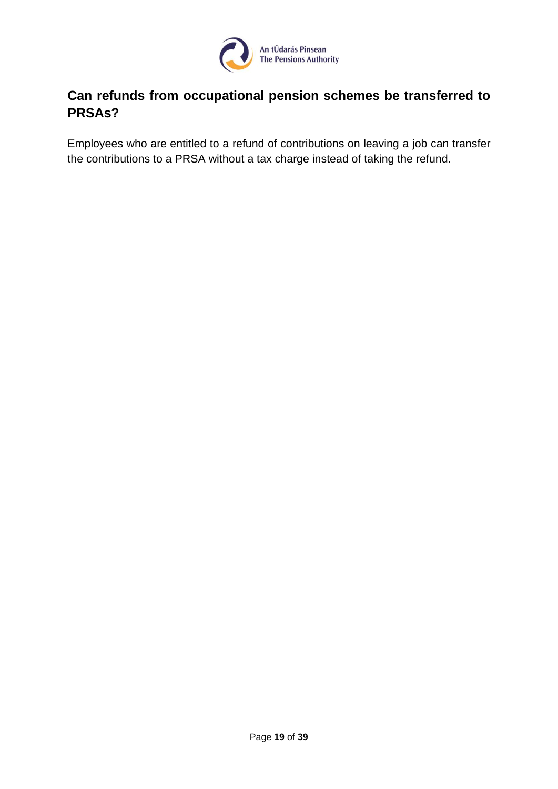

# <span id="page-18-0"></span>**Can refunds from occupational pension schemes be transferred to PRSAs?**

Employees who are entitled to a refund of contributions on leaving a job can transfer the contributions to a PRSA without a tax charge instead of taking the refund.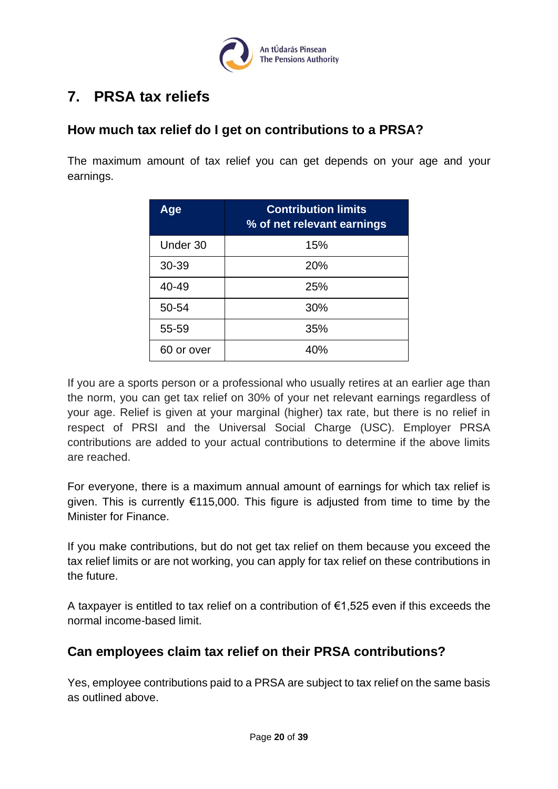

# <span id="page-19-0"></span>**7. PRSA tax reliefs**

# <span id="page-19-1"></span>**How much tax relief do I get on contributions to a PRSA?**

The maximum amount of tax relief you can get depends on your age and your earnings.

| Age        | <b>Contribution limits</b><br>% of net relevant earnings |
|------------|----------------------------------------------------------|
| Under 30   | 15%                                                      |
| 30-39      | 20%                                                      |
| 40-49      | 25%                                                      |
| 50-54      | 30%                                                      |
| 55-59      | 35%                                                      |
| 60 or over | 40%                                                      |

If you are a sports person or a professional who usually retires at an earlier age than the norm, you can get tax relief on 30% of your net relevant earnings regardless of your age. Relief is given at your marginal (higher) tax rate, but there is no relief in respect of PRSI and the Universal Social Charge (USC). Employer PRSA contributions are added to your actual contributions to determine if the above limits are reached.

For everyone, there is a maximum annual amount of earnings for which tax relief is given. This is currently €115,000. This figure is adjusted from time to time by the Minister for Finance.

If you make contributions, but do not get tax relief on them because you exceed the tax relief limits or are not working, you can apply for tax relief on these contributions in the future.

A taxpayer is entitled to tax relief on a contribution of  $\epsilon$ 1,525 even if this exceeds the normal income-based limit.

# <span id="page-19-2"></span>**Can employees claim tax relief on their PRSA contributions?**

Yes, employee contributions paid to a PRSA are subject to tax relief on the same basis as outlined above.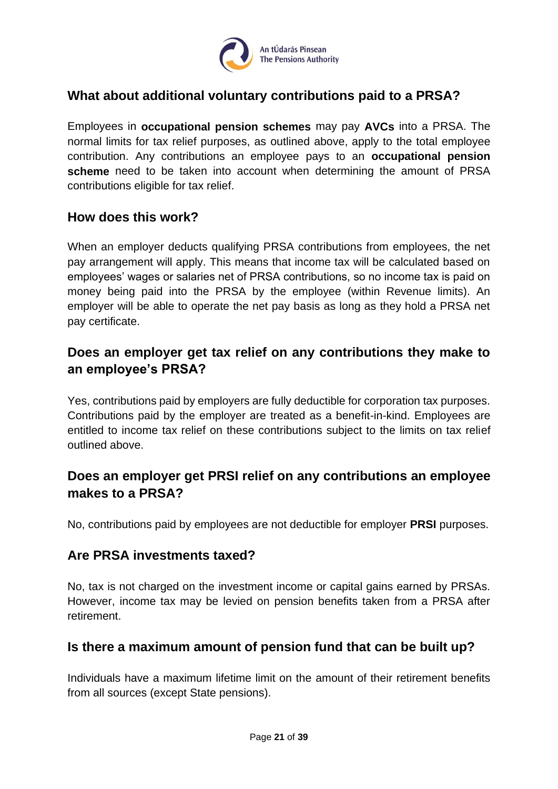

# <span id="page-20-0"></span>**What about additional voluntary contributions paid to a PRSA?**

Employees in **occupational pension schemes** may pay **AVCs** into a PRSA. The normal limits for tax relief purposes, as outlined above, apply to the total employee contribution. Any contributions an employee pays to an **occupational pension scheme** need to be taken into account when determining the amount of PRSA contributions eligible for tax relief.

#### <span id="page-20-1"></span>**How does this work?**

When an employer deducts qualifying PRSA contributions from employees, the net pay arrangement will apply. This means that income tax will be calculated based on employees' wages or salaries net of PRSA contributions, so no income tax is paid on money being paid into the PRSA by the employee (within Revenue limits). An employer will be able to operate the net pay basis as long as they hold a PRSA net pay certificate.

# <span id="page-20-2"></span>**Does an employer get tax relief on any contributions they make to an employee's PRSA?**

Yes, contributions paid by employers are fully deductible for corporation tax purposes. Contributions paid by the employer are treated as a benefit-in-kind. Employees are entitled to income tax relief on these contributions subject to the limits on tax relief outlined above.

# <span id="page-20-3"></span>**Does an employer get PRSI relief on any contributions an employee makes to a PRSA?**

No, contributions paid by employees are not deductible for employer **PRSI** purposes.

#### <span id="page-20-4"></span>**Are PRSA investments taxed?**

No, tax is not charged on the investment income or capital gains earned by PRSAs. However, income tax may be levied on pension benefits taken from a PRSA after retirement.

#### <span id="page-20-5"></span>**Is there a maximum amount of pension fund that can be built up?**

Individuals have a maximum lifetime limit on the amount of their retirement benefits from all sources (except State pensions).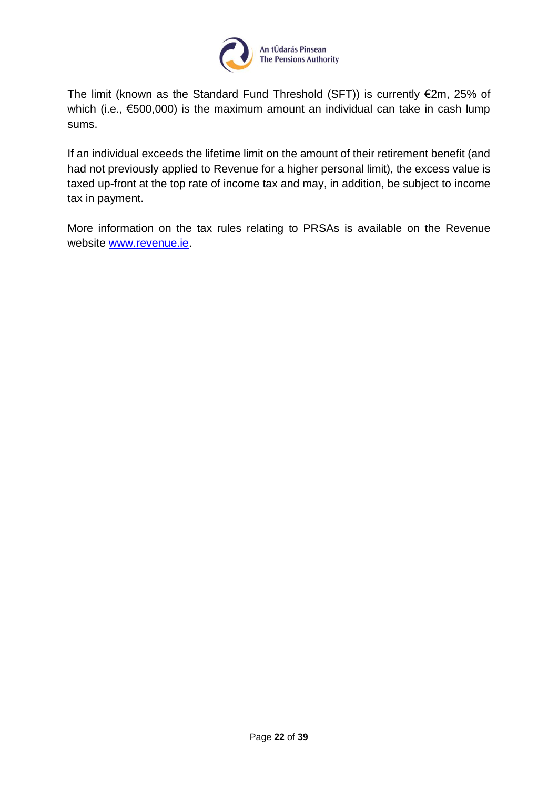

The limit (known as the Standard Fund Threshold (SFT)) is currently €2m, 25% of which (i.e., €500,000) is the maximum amount an individual can take in cash lump sums.

If an individual exceeds the lifetime limit on the amount of their retirement benefit (and had not previously applied to Revenue for a higher personal limit), the excess value is taxed up-front at the top rate of income tax and may, in addition, be subject to income tax in payment.

More information on the tax rules relating to PRSAs is available on the Revenue website [www.revenue.ie.](http://www.revenue.ie/)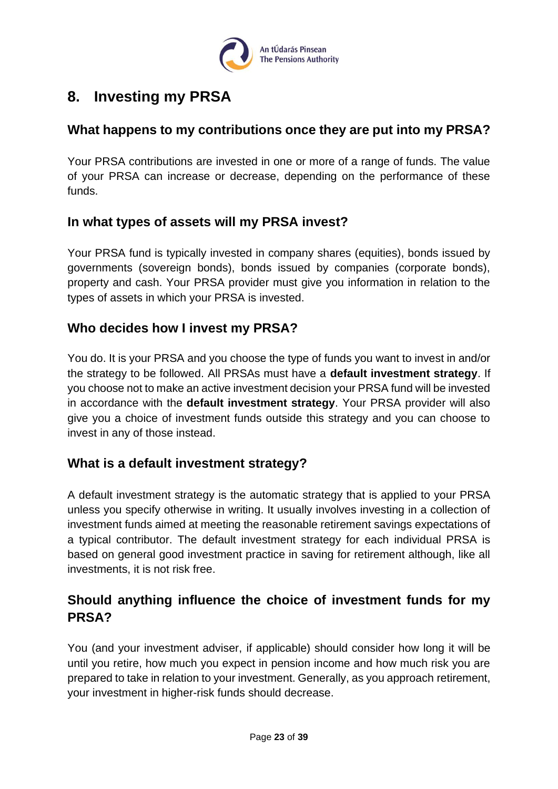

# <span id="page-22-0"></span>**8. Investing my PRSA**

### <span id="page-22-1"></span>**What happens to my contributions once they are put into my PRSA?**

Your PRSA contributions are invested in one or more of a range of funds. The value of your PRSA can increase or decrease, depending on the performance of these funds.

### <span id="page-22-2"></span>**In what types of assets will my PRSA invest?**

Your PRSA fund is typically invested in company shares (equities), bonds issued by governments (sovereign bonds), bonds issued by companies (corporate bonds), property and cash. Your PRSA provider must give you information in relation to the types of assets in which your PRSA is invested.

### <span id="page-22-3"></span>**Who decides how I invest my PRSA?**

You do. It is your PRSA and you choose the type of funds you want to invest in and/or the strategy to be followed. All PRSAs must have a **default investment strategy**. If you choose not to make an active investment decision your PRSA fund will be invested in accordance with the **default investment strategy**. Your PRSA provider will also give you a choice of investment funds outside this strategy and you can choose to invest in any of those instead.

#### <span id="page-22-4"></span>**What is a default investment strategy?**

A default investment strategy is the automatic strategy that is applied to your PRSA unless you specify otherwise in writing. It usually involves investing in a collection of investment funds aimed at meeting the reasonable retirement savings expectations of a typical contributor. The default investment strategy for each individual PRSA is based on general good investment practice in saving for retirement although, like all investments, it is not risk free.

# <span id="page-22-5"></span>**Should anything influence the choice of investment funds for my PRSA?**

You (and your investment adviser, if applicable) should consider how long it will be until you retire, how much you expect in pension income and how much risk you are prepared to take in relation to your investment. Generally, as you approach retirement, your investment in higher-risk funds should decrease.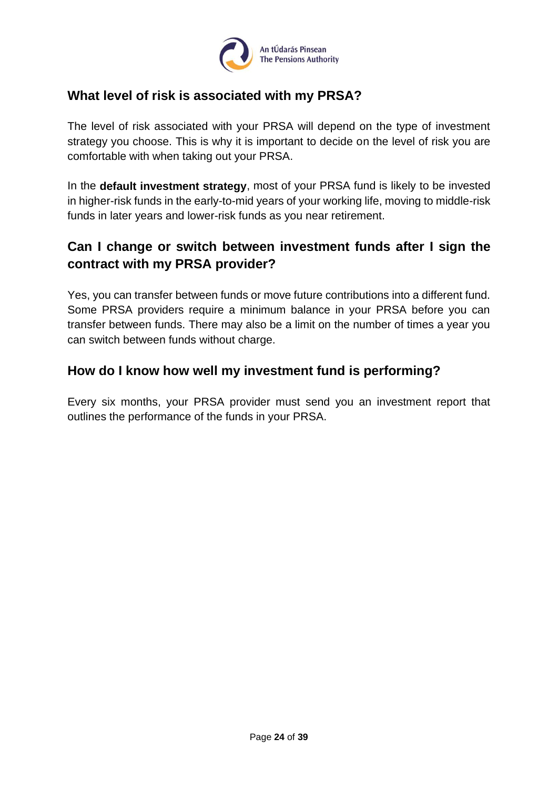

# <span id="page-23-0"></span>**What level of risk is associated with my PRSA?**

The level of risk associated with your PRSA will depend on the type of investment strategy you choose. This is why it is important to decide on the level of risk you are comfortable with when taking out your PRSA.

In the **default investment strategy**, most of your PRSA fund is likely to be invested in higher-risk funds in the early-to-mid years of your working life, moving to middle-risk funds in later years and lower-risk funds as you near retirement.

# <span id="page-23-1"></span>**Can I change or switch between investment funds after I sign the contract with my PRSA provider?**

Yes, you can transfer between funds or move future contributions into a different fund. Some PRSA providers require a minimum balance in your PRSA before you can transfer between funds. There may also be a limit on the number of times a year you can switch between funds without charge.

### <span id="page-23-2"></span>**How do I know how well my investment fund is performing?**

Every six months, your PRSA provider must send you an investment report that outlines the performance of the funds in your PRSA.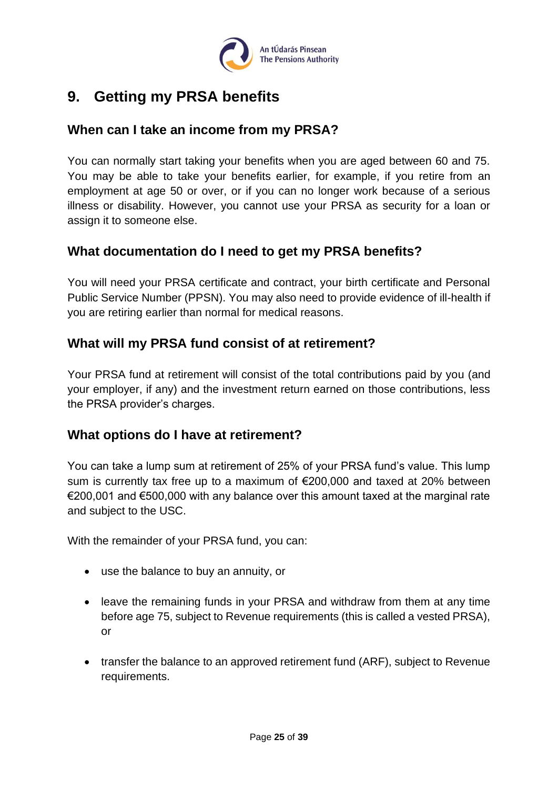

# <span id="page-24-0"></span>**9. Getting my PRSA benefits**

# <span id="page-24-1"></span>**When can I take an income from my PRSA?**

You can normally start taking your benefits when you are aged between 60 and 75. You may be able to take your benefits earlier, for example, if you retire from an employment at age 50 or over, or if you can no longer work because of a serious illness or disability. However, you cannot use your PRSA as security for a loan or assign it to someone else.

# <span id="page-24-2"></span>**What documentation do I need to get my PRSA benefits?**

You will need your PRSA certificate and contract, your birth certificate and Personal Public Service Number (PPSN). You may also need to provide evidence of ill-health if you are retiring earlier than normal for medical reasons.

### <span id="page-24-3"></span>**What will my PRSA fund consist of at retirement?**

Your PRSA fund at retirement will consist of the total contributions paid by you (and your employer, if any) and the investment return earned on those contributions, less the PRSA provider's charges.

#### <span id="page-24-4"></span>**What options do I have at retirement?**

You can take a lump sum at retirement of 25% of your PRSA fund's value. This lump sum is currently tax free up to a maximum of €200,000 and taxed at 20% between €200,001 and €500,000 with any balance over this amount taxed at the marginal rate and subject to the USC.

With the remainder of your PRSA fund, you can:

- use the balance to buy an annuity, or
- leave the remaining funds in your PRSA and withdraw from them at any time before age 75, subject to Revenue requirements (this is called a vested PRSA), or
- transfer the balance to an approved retirement fund (ARF), subject to Revenue requirements.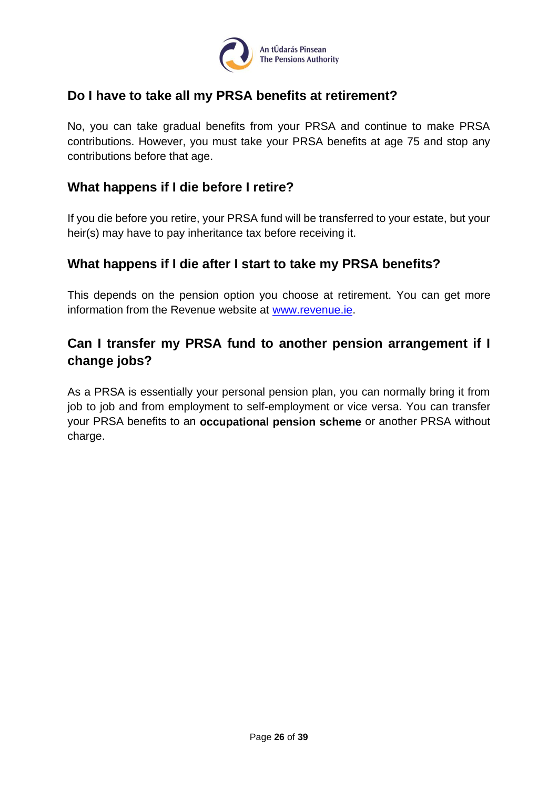

# <span id="page-25-0"></span>**Do I have to take all my PRSA benefits at retirement?**

No, you can take gradual benefits from your PRSA and continue to make PRSA contributions. However, you must take your PRSA benefits at age 75 and stop any contributions before that age.

### <span id="page-25-1"></span>**What happens if I die before I retire?**

If you die before you retire, your PRSA fund will be transferred to your estate, but your heir(s) may have to pay inheritance tax before receiving it.

#### <span id="page-25-2"></span>**What happens if I die after I start to take my PRSA benefits?**

This depends on the pension option you choose at retirement. You can get more information from the Revenue website at [www.revenue.ie.](http://www.revenue.ie/)

# <span id="page-25-3"></span>**Can I transfer my PRSA fund to another pension arrangement if I change jobs?**

As a PRSA is essentially your personal pension plan, you can normally bring it from job to job and from employment to self-employment or vice versa. You can transfer your PRSA benefits to an **occupational pension scheme** or another PRSA without charge.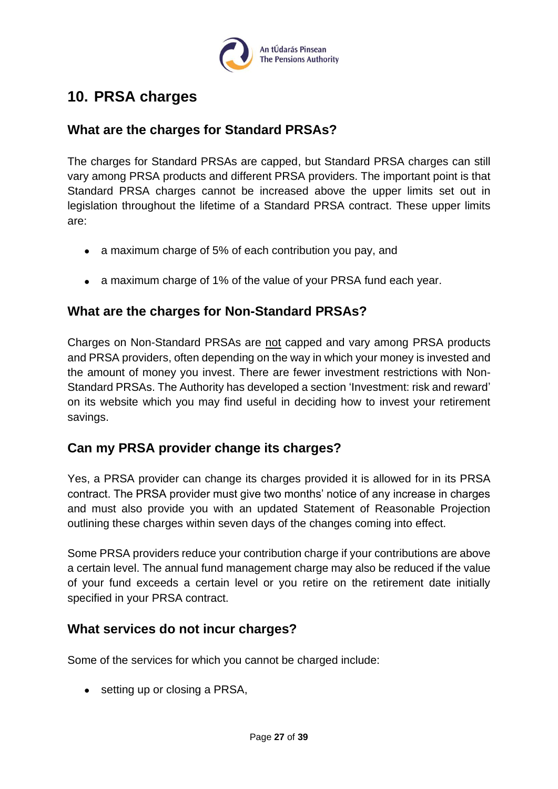

# <span id="page-26-0"></span>**10. PRSA charges**

# <span id="page-26-1"></span>**What are the charges for Standard PRSAs?**

The charges for Standard PRSAs are capped, but Standard PRSA charges can still vary among PRSA products and different PRSA providers. The important point is that Standard PRSA charges cannot be increased above the upper limits set out in legislation throughout the lifetime of a Standard PRSA contract. These upper limits are:

- a maximum charge of 5% of each contribution you pay, and
- a maximum charge of 1% of the value of your PRSA fund each year.

# <span id="page-26-2"></span>**What are the charges for Non-Standard PRSAs?**

Charges on Non-Standard PRSAs are not capped and vary among PRSA products and PRSA providers, often depending on the way in which your money is invested and the amount of money you invest. There are fewer investment restrictions with Non-Standard PRSAs. The Authority has developed a section 'Investment: risk and reward' on its website which you may find useful in deciding how to invest your retirement savings.

# <span id="page-26-3"></span>**Can my PRSA provider change its charges?**

Yes, a PRSA provider can change its charges provided it is allowed for in its PRSA contract. The PRSA provider must give two months' notice of any increase in charges and must also provide you with an updated Statement of Reasonable Projection outlining these charges within seven days of the changes coming into effect.

Some PRSA providers reduce your contribution charge if your contributions are above a certain level. The annual fund management charge may also be reduced if the value of your fund exceeds a certain level or you retire on the retirement date initially specified in your PRSA contract.

#### <span id="page-26-4"></span>**What services do not incur charges?**

Some of the services for which you cannot be charged include:

• setting up or closing a PRSA,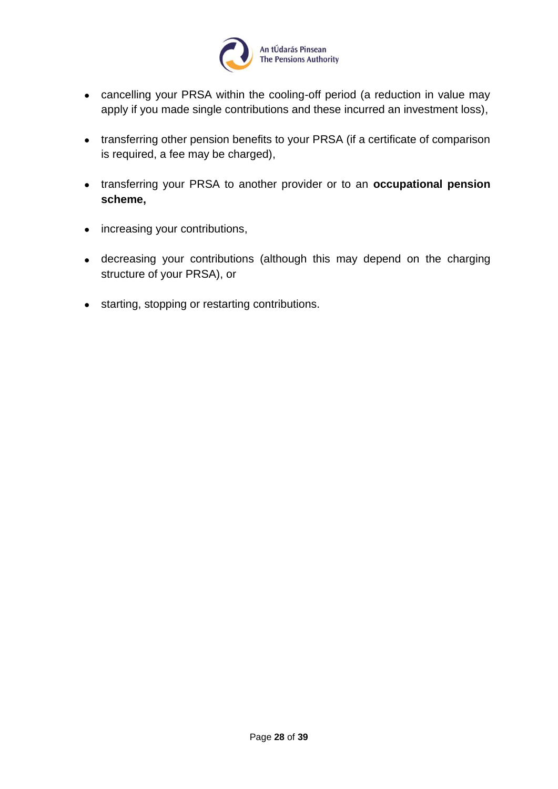

- cancelling your PRSA within the cooling-off period (a reduction in value may apply if you made single contributions and these incurred an investment loss),
- transferring other pension benefits to your PRSA (if a certificate of comparison is required, a fee may be charged),
- transferring your PRSA to another provider or to an **occupational pension scheme,**
- increasing your contributions,
- decreasing your contributions (although this may depend on the charging structure of your PRSA), or
- starting, stopping or restarting contributions.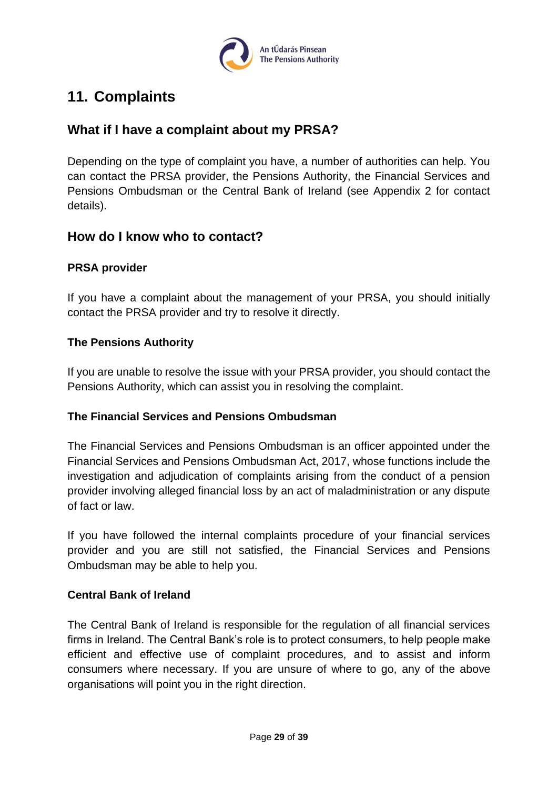

# <span id="page-28-0"></span>**11. Complaints**

### <span id="page-28-1"></span>**What if I have a complaint about my PRSA?**

Depending on the type of complaint you have, a number of authorities can help. You can contact the PRSA provider, the Pensions Authority, the Financial Services and Pensions Ombudsman or the Central Bank of Ireland (see Appendix 2 for contact details).

#### <span id="page-28-2"></span>**How do I know who to contact?**

#### **PRSA provider**

If you have a complaint about the management of your PRSA, you should initially contact the PRSA provider and try to resolve it directly.

#### **The Pensions Authority**

If you are unable to resolve the issue with your PRSA provider, you should contact the Pensions Authority, which can assist you in resolving the complaint.

#### **The Financial Services and Pensions Ombudsman**

The Financial Services and Pensions Ombudsman is an officer appointed under the Financial Services and Pensions Ombudsman Act, 2017, whose functions include the investigation and adjudication of complaints arising from the conduct of a pension provider involving alleged financial loss by an act of maladministration or any dispute of fact or law.

If you have followed the internal complaints procedure of your financial services provider and you are still not satisfied, the Financial Services and Pensions Ombudsman may be able to help you.

#### **Central Bank of Ireland**

The Central Bank of Ireland is responsible for the regulation of all financial services firms in Ireland. The Central Bank's role is to protect consumers, to help people make efficient and effective use of complaint procedures, and to assist and inform consumers where necessary. If you are unsure of where to go, any of the above organisations will point you in the right direction.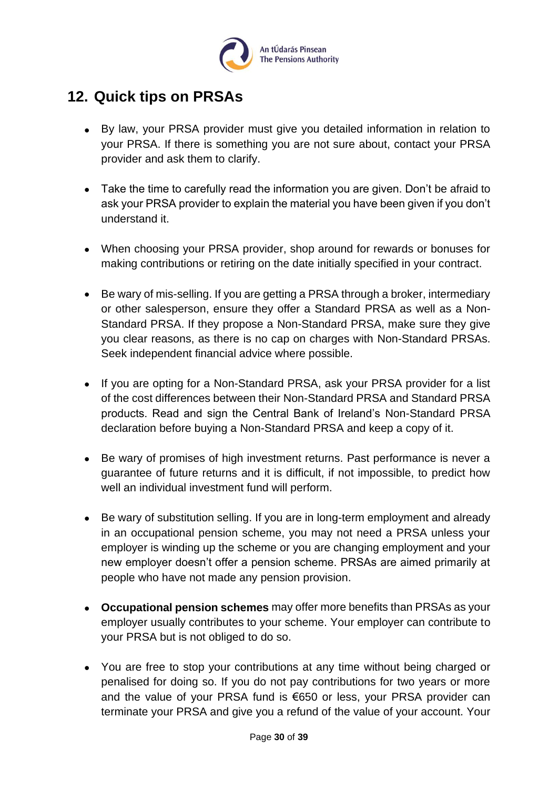

# <span id="page-29-0"></span>**12. Quick tips on PRSAs**

- By law, your PRSA provider must give you detailed information in relation to your PRSA. If there is something you are not sure about, contact your PRSA provider and ask them to clarify.
- Take the time to carefully read the information you are given. Don't be afraid to ask your PRSA provider to explain the material you have been given if you don't understand it.
- When choosing your PRSA provider, shop around for rewards or bonuses for making contributions or retiring on the date initially specified in your contract.
- Be wary of mis-selling. If you are getting a PRSA through a broker, intermediary or other salesperson, ensure they offer a Standard PRSA as well as a Non-Standard PRSA. If they propose a Non-Standard PRSA, make sure they give you clear reasons, as there is no cap on charges with Non-Standard PRSAs. Seek independent financial advice where possible.
- If you are opting for a Non-Standard PRSA, ask your PRSA provider for a list of the cost differences between their Non-Standard PRSA and Standard PRSA products. Read and sign the Central Bank of Ireland's Non-Standard PRSA declaration before buying a Non-Standard PRSA and keep a copy of it.
- Be wary of promises of high investment returns. Past performance is never a guarantee of future returns and it is difficult, if not impossible, to predict how well an individual investment fund will perform.
- Be wary of substitution selling. If you are in long-term employment and already in an occupational pension scheme, you may not need a PRSA unless your employer is winding up the scheme or you are changing employment and your new employer doesn't offer a pension scheme. PRSAs are aimed primarily at people who have not made any pension provision.
- **Occupational pension schemes** may offer more benefits than PRSAs as your employer usually contributes to your scheme. Your employer can contribute to your PRSA but is not obliged to do so.
- You are free to stop your contributions at any time without being charged or penalised for doing so. If you do not pay contributions for two years or more and the value of your PRSA fund is €650 or less, your PRSA provider can terminate your PRSA and give you a refund of the value of your account. Your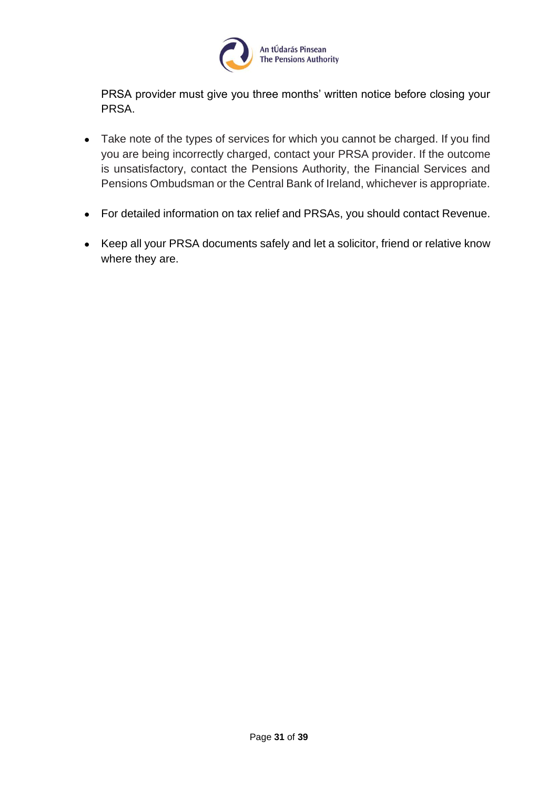

PRSA provider must give you three months' written notice before closing your PRSA.

- Take note of the types of services for which you cannot be charged. If you find you are being incorrectly charged, contact your PRSA provider. If the outcome is unsatisfactory, contact the Pensions Authority, the Financial Services and Pensions Ombudsman or the Central Bank of Ireland, whichever is appropriate.
- For detailed information on tax relief and PRSAs, you should contact Revenue.
- Keep all your PRSA documents safely and let a solicitor, friend or relative know where they are.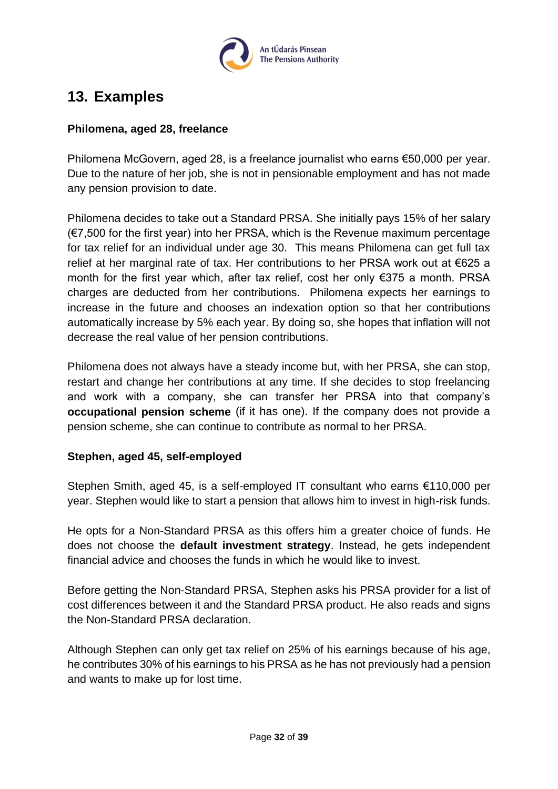

# <span id="page-31-0"></span>**13. Examples**

#### **Philomena, aged 28, freelance**

Philomena McGovern, aged 28, is a freelance journalist who earns €50,000 per year. Due to the nature of her job, she is not in pensionable employment and has not made any pension provision to date.

Philomena decides to take out a Standard PRSA. She initially pays 15% of her salary (€7,500 for the first year) into her PRSA, which is the Revenue maximum percentage for tax relief for an individual under age 30. This means Philomena can get full tax relief at her marginal rate of tax. Her contributions to her PRSA work out at €625 a month for the first year which, after tax relief, cost her only €375 a month. PRSA charges are deducted from her contributions. Philomena expects her earnings to increase in the future and chooses an indexation option so that her contributions automatically increase by 5% each year. By doing so, she hopes that inflation will not decrease the real value of her pension contributions.

Philomena does not always have a steady income but, with her PRSA, she can stop, restart and change her contributions at any time. If she decides to stop freelancing and work with a company, she can transfer her PRSA into that company's **occupational pension scheme** (if it has one). If the company does not provide a pension scheme, she can continue to contribute as normal to her PRSA.

#### **Stephen, aged 45, self-employed**

Stephen Smith, aged 45, is a self-employed IT consultant who earns €110,000 per year. Stephen would like to start a pension that allows him to invest in high-risk funds.

He opts for a Non-Standard PRSA as this offers him a greater choice of funds. He does not choose the **default investment strategy**. Instead, he gets independent financial advice and chooses the funds in which he would like to invest.

Before getting the Non-Standard PRSA, Stephen asks his PRSA provider for a list of cost differences between it and the Standard PRSA product. He also reads and signs the Non-Standard PRSA declaration.

Although Stephen can only get tax relief on 25% of his earnings because of his age, he contributes 30% of his earnings to his PRSA as he has not previously had a pension and wants to make up for lost time.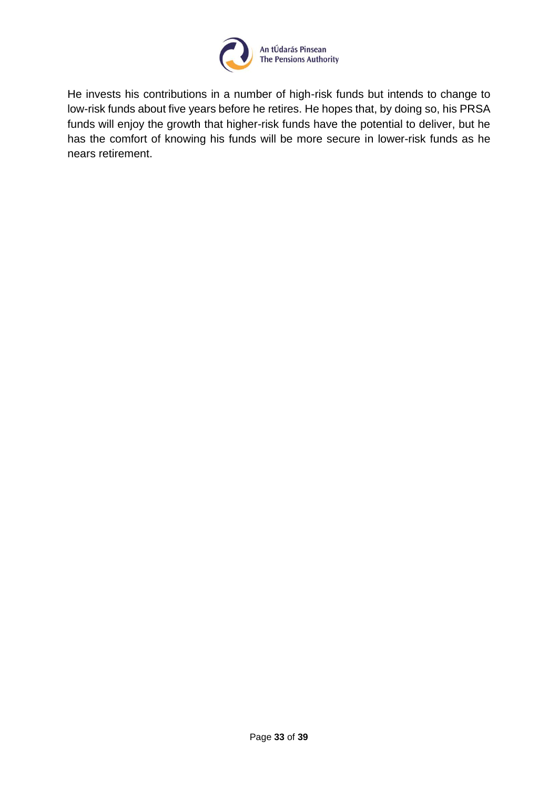

He invests his contributions in a number of high-risk funds but intends to change to low-risk funds about five years before he retires. He hopes that, by doing so, his PRSA funds will enjoy the growth that higher-risk funds have the potential to deliver, but he has the comfort of knowing his funds will be more secure in lower-risk funds as he nears retirement.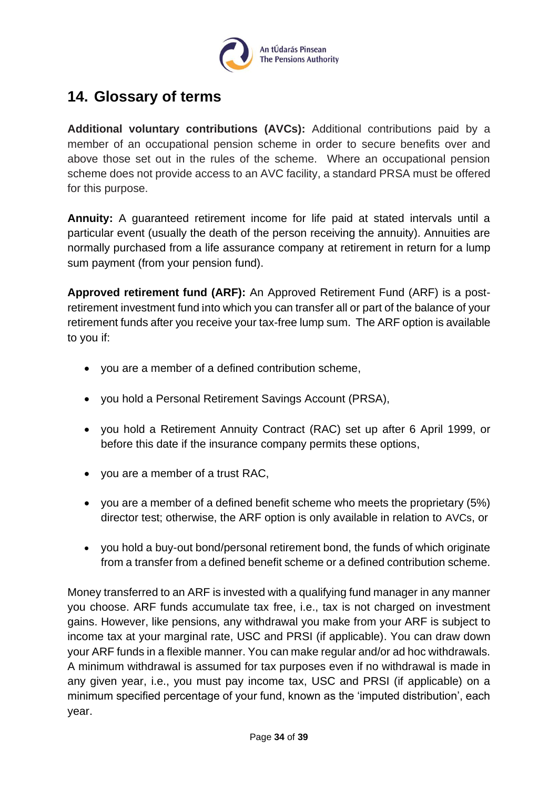

# <span id="page-33-0"></span>**14. Glossary of terms**

**Additional voluntary contributions (AVCs):** Additional contributions paid by a member of an occupational pension scheme in order to secure benefits over and above those set out in the rules of the scheme. Where an occupational pension scheme does not provide access to an AVC facility, a standard PRSA must be offered for this purpose.

**Annuity:** A guaranteed retirement income for life paid at stated intervals until a particular event (usually the death of the person receiving the annuity). Annuities are normally purchased from a life assurance company at retirement in return for a lump sum payment (from your pension fund).

**Approved retirement fund (ARF):** An Approved Retirement Fund (ARF) is a postretirement investment fund into which you can transfer all or part of the balance of your retirement funds after you receive your tax-free lump sum. The ARF option is available to you if:

- you are a member of a defined contribution scheme,
- you hold a Personal Retirement Savings Account (PRSA),
- you hold a Retirement Annuity Contract (RAC) set up after 6 April 1999, or before this date if the insurance company permits these options,
- you are a member of a trust RAC,
- you are a member of a defined benefit scheme who meets the proprietary (5%) director test; otherwise, the ARF option is only available in relation to AVCs, or
- you hold a buy-out bond/personal retirement bond, the funds of which originate from a transfer from a defined benefit scheme or a defined contribution scheme.

Money transferred to an ARF is invested with a qualifying fund manager in any manner you choose. ARF funds accumulate tax free, i.e., tax is not charged on investment gains. However, like pensions, any withdrawal you make from your ARF is subject to income tax at your marginal rate, USC and PRSI (if applicable). You can draw down your ARF funds in a flexible manner. You can make regular and/or ad hoc withdrawals. A minimum withdrawal is assumed for tax purposes even if no withdrawal is made in any given year, i.e., you must pay income tax, USC and PRSI (if applicable) on a minimum specified percentage of your fund, known as the 'imputed distribution', each year.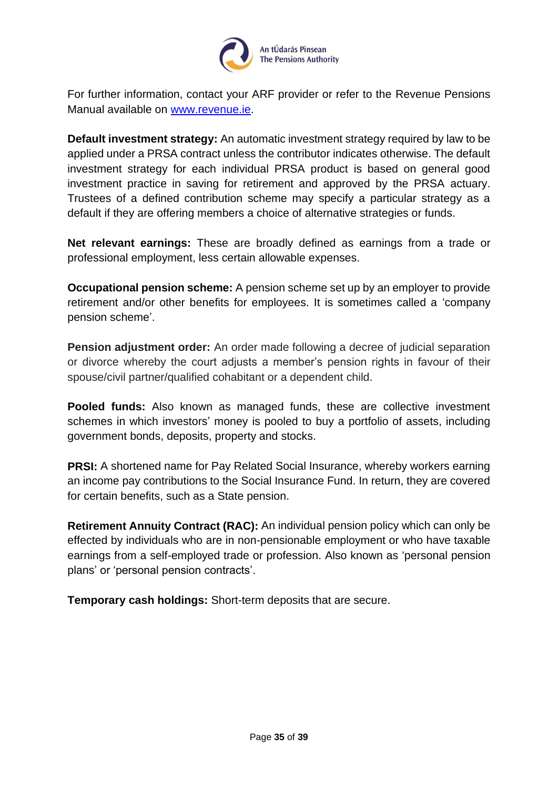

For further information, contact your ARF provider or refer to the Revenue Pensions Manual available on [www.revenue.ie.](http://www.revenue.ie/)

**Default investment strategy:** An automatic investment strategy required by law to be applied under a PRSA contract unless the contributor indicates otherwise. The default investment strategy for each individual PRSA product is based on general good investment practice in saving for retirement and approved by the PRSA actuary. Trustees of a defined contribution scheme may specify a particular strategy as a default if they are offering members a choice of alternative strategies or funds.

**Net relevant earnings:** These are broadly defined as earnings from a trade or professional employment, less certain allowable expenses.

**Occupational pension scheme:** A pension scheme set up by an employer to provide retirement and/or other benefits for employees. It is sometimes called a 'company pension scheme'.

**Pension adjustment order:** An order made following a decree of judicial separation or divorce whereby the court adjusts a member's pension rights in favour of their spouse/civil partner/qualified cohabitant or a dependent child.

**Pooled funds:** Also known as managed funds, these are collective investment schemes in which investors' money is pooled to buy a portfolio of assets, including government bonds, deposits, property and stocks.

**PRSI:** A shortened name for Pay Related Social Insurance, whereby workers earning an income pay contributions to the Social Insurance Fund. In return, they are covered for certain benefits, such as a State pension.

**Retirement Annuity Contract (RAC):** An individual pension policy which can only be effected by individuals who are in non-pensionable employment or who have taxable earnings from a self-employed trade or profession. Also known as 'personal pension plans' or 'personal pension contracts'.

**Temporary cash holdings:** Short-term deposits that are secure.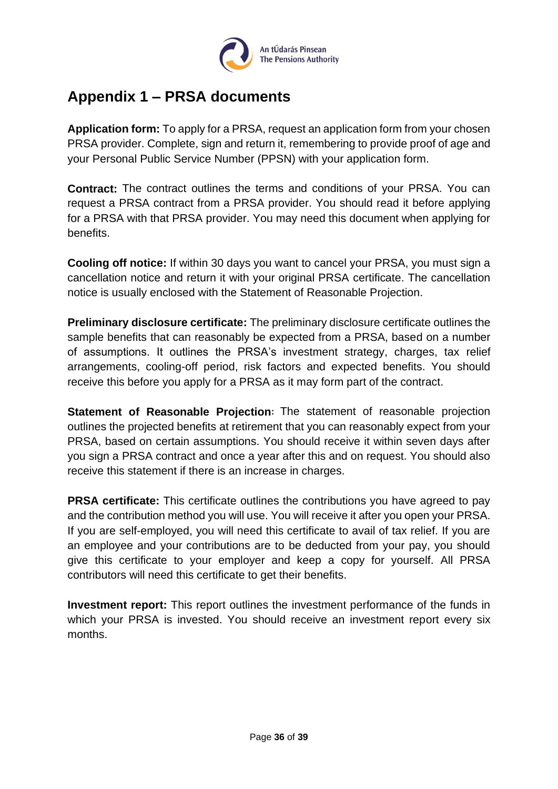

# <span id="page-35-0"></span>**Appendix 1 – PRSA documents**

**Application form:** To apply for a PRSA, request an application form from your chosen PRSA provider. Complete, sign and return it, remembering to provide proof of age and your Personal Public Service Number (PPSN) with your application form.

**Contract:** The contract outlines the terms and conditions of your PRSA. You can request a PRSA contract from a PRSA provider. You should read it before applying for a PRSA with that PRSA provider. You may need this document when applying for benefits.

**Cooling off notice:** If within 30 days you want to cancel your PRSA, you must sign a cancellation notice and return it with your original PRSA certificate. The cancellation notice is usually enclosed with the Statement of Reasonable Projection.

**Preliminary disclosure certificate:** The preliminary disclosure certificate outlines the sample benefits that can reasonably be expected from a PRSA, based on a number of assumptions. It outlines the PRSA's investment strategy, charges, tax relief arrangements, cooling-off period, risk factors and expected benefits. You should receive this before you apply for a PRSA as it may form part of the contract.

**Statement of Reasonable Projection:** The statement of reasonable projection outlines the projected benefits at retirement that you can reasonably expect from your PRSA, based on certain assumptions. You should receive it within seven days after you sign a PRSA contract and once a year after this and on request. You should also receive this statement if there is an increase in charges.

**PRSA certificate:** This certificate outlines the contributions you have agreed to pay and the contribution method you will use. You will receive it after you open your PRSA. If you are self-employed, you will need this certificate to avail of tax relief. If you are an employee and your contributions are to be deducted from your pay, you should give this certificate to your employer and keep a copy for yourself. All PRSA contributors will need this certificate to get their benefits.

**Investment report:** This report outlines the investment performance of the funds in which your PRSA is invested. You should receive an investment report every six months.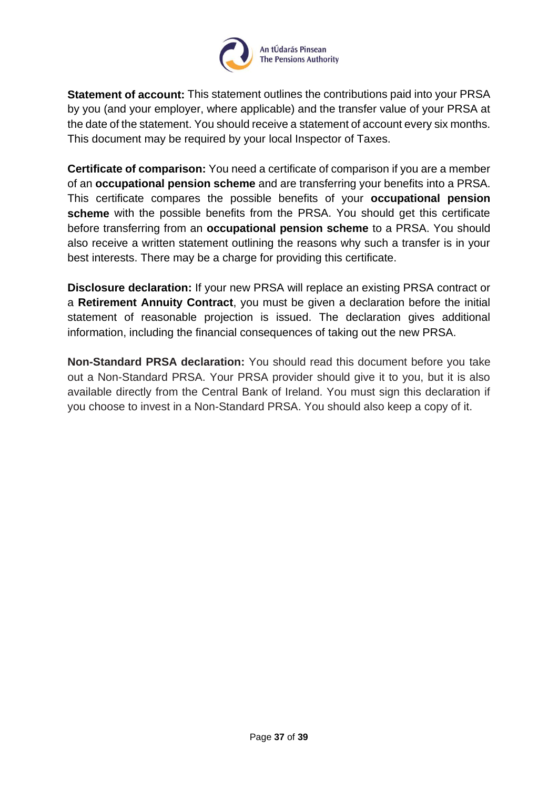

**Statement of account:** This statement outlines the contributions paid into your PRSA by you (and your employer, where applicable) and the transfer value of your PRSA at the date of the statement. You should receive a statement of account every six months. This document may be required by your local Inspector of Taxes.

**Certificate of comparison:** You need a certificate of comparison if you are a member of an **occupational pension scheme** and are transferring your benefits into a PRSA. This certificate compares the possible benefits of your **occupational pension scheme** with the possible benefits from the PRSA. You should get this certificate before transferring from an **occupational pension scheme** to a PRSA. You should also receive a written statement outlining the reasons why such a transfer is in your best interests. There may be a charge for providing this certificate.

**Disclosure declaration:** If your new PRSA will replace an existing PRSA contract or a **Retirement Annuity Contract**, you must be given a declaration before the initial statement of reasonable projection is issued. The declaration gives additional information, including the financial consequences of taking out the new PRSA.

**Non-Standard PRSA declaration:** You should read this document before you take out a Non-Standard PRSA. Your PRSA provider should give it to you, but it is also available directly from the Central Bank of Ireland. You must sign this declaration if you choose to invest in a Non-Standard PRSA. You should also keep a copy of it.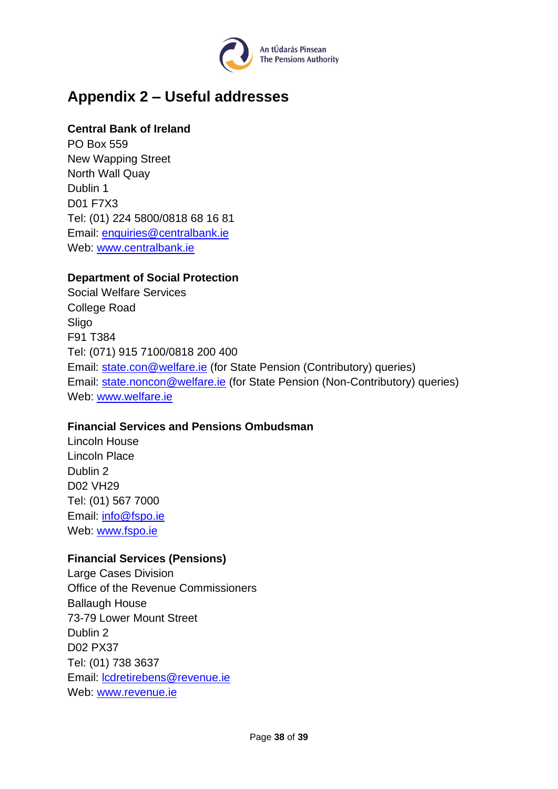

# <span id="page-37-0"></span>**Appendix 2 – Useful addresses**

#### **Central Bank of Ireland**

PO Box 559 New Wapping Street North Wall Quay Dublin 1 D01 F7X3 Tel: (01) 224 5800/0818 68 16 81 Email: [enquiries@centralbank.ie](mailto:enquiries@centralbank.ie) Web: [www.centralbank.ie](http://www.centralbank.ie/)

#### **Department of Social Protection**

Social Welfare Services College Road Sligo F91 T384 Tel: (071) 915 7100/0818 200 400 Email: [state.con@welfare.ie](mailto:state.con@welfare.ie) (for State Pension (Contributory) queries) Email: [state.noncon@welfare.ie](mailto:state.noncon@welfare.ie) (for State Pension (Non-Contributory) queries) Web: [www.welfare.ie](http://www.welfare.ie/)

#### **Financial Services and Pensions Ombudsman**

Lincoln House Lincoln Place Dublin 2 D02 VH29 Tel: (01) 567 7000 Email: [info@fspo.ie](mailto:info@fspo.ie) Web: [www.fspo.ie](http://www.fspo.ie/)

#### **Financial Services (Pensions)**

Large Cases Division Office of the Revenue Commissioners Ballaugh House 73-79 Lower Mount Street Dublin 2 D02 PX37 Tel: (01) 738 3637 Email: [lcdretirebens@revenue.ie](mailto:lcdretirebens@revenue.ie) Web: [www.revenue.ie](http://www.revenue.ie/)